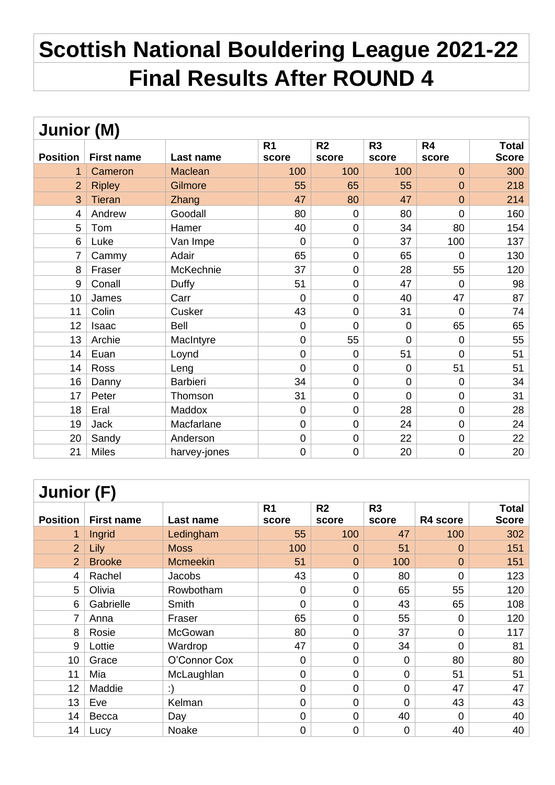## **Scottish National Bouldering League 2021-22 Final Results After ROUND 4**

| <b>Junior (M)</b> |                   |                |                |                |                |                |              |  |  |
|-------------------|-------------------|----------------|----------------|----------------|----------------|----------------|--------------|--|--|
|                   |                   |                | R <sub>1</sub> | R <sub>2</sub> | R <sub>3</sub> | R <sub>4</sub> | <b>Total</b> |  |  |
| <b>Position</b>   | <b>First name</b> | Last name      | score          | score          | score          | score          | <b>Score</b> |  |  |
|                   | Cameron           | <b>Maclean</b> | 100            | 100            | 100            | $\overline{0}$ | 300          |  |  |
| $\overline{2}$    | <b>Ripley</b>     | Gilmore        | 55             | 65             | 55             | $\overline{0}$ | 218          |  |  |
| 3                 | <b>Tieran</b>     | Zhang          | 47             | 80             | 47             | $\overline{0}$ | 214          |  |  |
| 4                 | Andrew            | Goodall        | 80             | $\mathbf 0$    | 80             | $\overline{0}$ | 160          |  |  |
| 5                 | Tom               | Hamer          | 40             | $\mathbf 0$    | 34             | 80             | 154          |  |  |
| 6                 | Luke              | Van Impe       | $\overline{0}$ | $\mathbf 0$    | 37             | 100            | 137          |  |  |
| $\overline{7}$    | Cammy             | Adair          | 65             | $\mathbf 0$    | 65             | $\overline{0}$ | 130          |  |  |
| 8                 | Fraser            | McKechnie      | 37             | $\mathbf 0$    | 28             | 55             | 120          |  |  |
| 9                 | Conall            | Duffy          | 51             | $\mathbf 0$    | 47             | 0              | 98           |  |  |
| 10                | James             | Carr           | $\overline{0}$ | $\overline{0}$ | 40             | 47             | 87           |  |  |
| 11                | Colin             | Cusker         | 43             | $\mathbf 0$    | 31             | $\overline{0}$ | 74           |  |  |
| 12                | Isaac             | Bell           | $\mathbf 0$    | $\overline{0}$ | $\mathbf 0$    | 65             | 65           |  |  |
| 13                | Archie            | MacIntyre      | $\overline{0}$ | 55             | $\overline{0}$ | $\overline{0}$ | 55           |  |  |
| 14                | Euan              | Loynd          | 0              | $\mathbf 0$    | 51             | $\mathbf 0$    | 51           |  |  |
| 14                | Ross              | Leng           | 0              | 0              | $\mathbf 0$    | 51             | 51           |  |  |
| 16                | Danny             | Barbieri       | 34             | $\mathbf 0$    | $\overline{0}$ | $\overline{0}$ | 34           |  |  |
| 17                | Peter             | Thomson        | 31             | $\mathbf 0$    | $\overline{0}$ | $\mathbf 0$    | 31           |  |  |
| 18                | Eral              | Maddox         | $\mathbf 0$    | $\mathbf 0$    | 28             | $\mathbf 0$    | 28           |  |  |
| 19                | Jack              | Macfarlane     | 0              | $\mathbf 0$    | 24             | $\mathbf 0$    | 24           |  |  |
| 20                | Sandy             | Anderson       | 0              | $\mathbf 0$    | 22             | $\mathbf 0$    | 22           |  |  |
| 21                | <b>Miles</b>      | harvey-jones   | 0              | 0              | 20             | $\mathbf 0$    | 20           |  |  |

| Junior (F)      |                   |                 |                         |                         |                |                |                              |  |  |
|-----------------|-------------------|-----------------|-------------------------|-------------------------|----------------|----------------|------------------------------|--|--|
| <b>Position</b> | <b>First name</b> | Last name       | R <sub>1</sub><br>score | R <sub>2</sub><br>score | R3<br>score    | R4 score       | <b>Total</b><br><b>Score</b> |  |  |
|                 |                   |                 | 55                      | 100                     | 47             | 100            | 302                          |  |  |
| 1               | Ingrid            | Ledingham       |                         |                         |                |                |                              |  |  |
| $\overline{2}$  | Lily              | <b>Moss</b>     | 100                     | $\mathbf 0$             | 51             | $\mathbf 0$    | 151                          |  |  |
| $\overline{2}$  | <b>Brooke</b>     | <b>Mcmeekin</b> | 51                      | $\overline{0}$          | 100            | $\overline{0}$ | 151                          |  |  |
| 4               | Rachel            | <b>Jacobs</b>   | 43                      | $\mathbf 0$             | 80             | 0              | 123                          |  |  |
| 5               | Olivia            | Rowbotham       | 0                       | $\mathbf 0$             | 65             | 55             | 120                          |  |  |
| 6               | Gabrielle         | <b>Smith</b>    | $\overline{0}$          | $\mathbf 0$             | 43             | 65             | 108                          |  |  |
| 7               | Anna              | Fraser          | 65                      | $\overline{0}$          | 55             | $\mathbf 0$    | 120                          |  |  |
| 8               | Rosie             | McGowan         | 80                      | $\mathbf 0$             | 37             | $\mathbf 0$    | 117                          |  |  |
| 9               | Lottie            | Wardrop         | 47                      | $\mathbf 0$             | 34             | $\overline{0}$ | 81                           |  |  |
| 10              | Grace             | O'Connor Cox    | $\overline{0}$          | $\overline{0}$          | $\mathbf 0$    | 80             | 80                           |  |  |
| 11              | Mia               | McLaughlan      | $\overline{0}$          | $\overline{0}$          | $\overline{0}$ | 51             | 51                           |  |  |
| 12              | Maddie            | :)              | $\mathbf 0$             | $\overline{0}$          | $\mathbf 0$    | 47             | 47                           |  |  |
| 13              | Eve               | Kelman          | $\overline{0}$          | $\overline{0}$          | $\overline{0}$ | 43             | 43                           |  |  |
| 14              | Becca             | Day             | $\mathbf 0$             | $\overline{0}$          | 40             | $\mathbf 0$    | 40                           |  |  |
| 14              | Lucy              | Noake           | $\overline{0}$          | $\overline{0}$          | $\overline{0}$ | 40             | 40                           |  |  |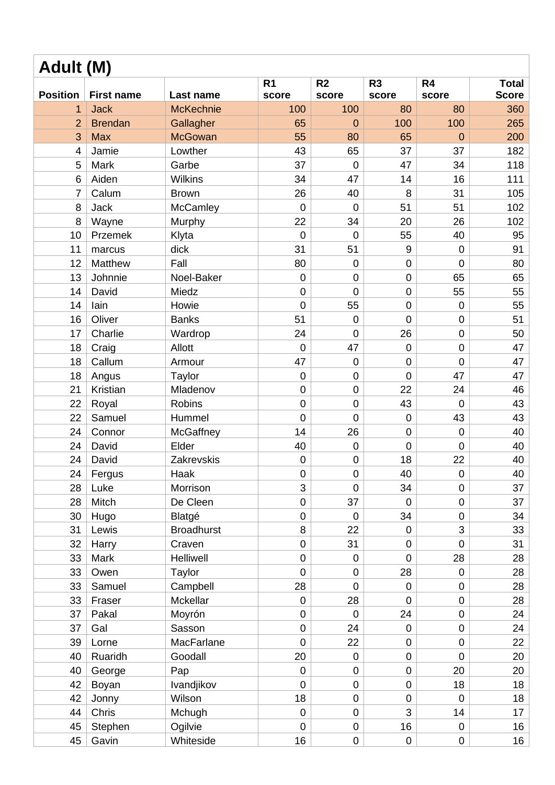| R <sub>1</sub><br>R <sub>2</sub><br>R <sub>3</sub><br>R4<br><b>Total</b><br><b>Position</b><br><b>Score</b><br><b>First name</b><br>Last name<br>score<br>score<br>score<br>score<br><b>Jack</b><br><b>McKechnie</b><br>100<br>100<br>80<br>360<br>80<br>1<br>$\overline{2}$<br>265<br><b>Brendan</b><br>65<br>100<br>100<br>Gallagher<br>$\Omega$<br>3<br><b>Max</b><br><b>McGowan</b><br>55<br>65<br>200<br>80<br>$\overline{0}$<br>43<br>65<br>37<br>37<br>182<br>$\overline{4}$<br>Jamie<br>Lowther<br>37<br>5<br>Mark<br>Garbe<br>$\mathbf 0$<br>47<br>34<br>118<br>6<br>Aiden<br><b>Wilkins</b><br>34<br>47<br>14<br>16<br>111<br>26<br>31<br>$\overline{7}$<br>Calum<br>40<br>8<br>105<br><b>Brown</b><br>8<br>51<br>Jack<br>$\mathbf 0$<br>$\mathbf 0$<br>51<br>102<br>McCamley<br>8<br>22<br>34<br>26<br>102<br>Wayne<br>20<br>Murphy<br>10<br>55<br>40<br>95<br>Klyta<br>$\mathbf 0$<br>Przemek<br>$\mathbf 0$<br>11<br>31<br>9<br>91<br>dick<br>51<br>$\mathbf 0$<br>marcus<br>Fall<br>80<br>$\mathbf 0$<br>12<br>Matthew<br>$\mathbf 0$<br>$\mathbf 0$<br>80<br>13<br>Johnnie<br>$\mathbf 0$<br>$\mathbf 0$<br>$\mathbf 0$<br>65<br>65<br>Noel-Baker<br>$\mathbf 0$<br>14<br>David<br>Miedz<br>$\overline{0}$<br>$\mathbf 0$<br>55<br>55<br>14<br>lain<br>$\overline{0}$<br>55<br>$\mathbf 0$<br>55<br>Howie<br>$\mathbf 0$<br>16<br>Oliver<br>51<br>$\overline{0}$<br>51<br>$\mathbf 0$<br>$\mathbf 0$<br><b>Banks</b><br>17<br>Charlie<br>24<br>$\mathbf 0$<br>26<br>50<br>Wardrop<br>$\mathbf 0$<br>47<br>18<br>Craig<br>Allott<br>$\mathbf 0$<br>$\mathbf 0$<br>47<br>$\mathbf 0$<br>18<br>Callum<br>47<br>$\mathbf 0$<br>$\mathbf 0$<br>47<br>Armour<br>$\overline{0}$<br>$\mathbf 0$<br>$\mathbf 0$<br>$\mathbf 0$<br>47<br>47<br>18<br>Angus<br>Taylor<br>21<br>$\mathbf 0$<br>$\mathbf 0$<br>22<br>24<br>46<br>Kristian<br>Mladenov<br>$\mathbf 0$<br>43<br>22<br>Royal<br><b>Robins</b><br>$\boldsymbol{0}$<br>43<br>$\mathbf 0$<br>22<br>Samuel<br>$\overline{0}$<br>$\overline{0}$<br>43<br>43<br>Hummel<br>$\mathbf 0$<br>14<br>26<br>$\mathbf 0$<br>24<br>Connor<br>40<br>McGaffney<br>$\overline{0}$<br>David<br>Elder<br>40<br>$\mathbf 0$<br>$\mathbf 0$<br>40<br>24<br>$\mathbf 0$<br>24<br>David<br>$\mathsf 0$<br>18<br>22<br>Zakrevskis<br>$\mathbf 0$<br>40<br>40<br>40<br>24<br>$\mathsf 0$<br>$\mathsf{O}\xspace$<br>$\pmb{0}$<br>Fergus<br>Haak<br>3<br>34<br>37<br>28<br>Luke<br>$\overline{0}$<br>$\overline{0}$<br>Morrison<br>28<br>Mitch<br>$\pmb{0}$<br>37<br>37<br>De Cleen<br>$\mathbf 0$<br>$\mathbf 0$<br>34<br>$\pmb{0}$<br>34<br>30<br>Hugo<br>Blatgé<br>$\pmb{0}$<br>0<br>8<br>22<br>3<br>33<br>31<br>Lewis<br><b>Broadhurst</b><br>$\mathbf 0$<br>31<br>32<br>$\pmb{0}$<br>$\mathbf 0$<br>31<br>Harry<br>Craven<br>$\overline{0}$<br>Mark<br>$\mathbf 0$<br>28<br>33<br><b>Helliwell</b><br>$\mathbf 0$<br>$\mathbf 0$<br>28<br>$\overline{0}$<br>28<br>33<br>Owen<br>Taylor<br>$\mathbf 0$<br>28<br>$\mathbf 0$<br>28<br>28<br>33<br>Campbell<br>$\mathbf 0$<br>$\mathbf 0$<br>$\mathbf 0$<br>Samuel<br>33<br>Mckellar<br>28<br>28<br>Fraser<br>$\mathbf 0$<br>$\mathbf 0$<br>$\pmb{0}$<br>$\mathbf 0$<br>24<br>24<br>37<br>Pakal<br>Moyrón<br>$\mathbf 0$<br>$\mathbf 0$<br>37<br>$\mathbf 0$<br>24<br>24<br>Gal<br>Sasson<br>$\mathbf 0$<br>$\overline{0}$<br>$\mathbf 0$<br>22<br>22<br>39<br>$\mathbf 0$<br>$\mathbf 0$<br>Lorne<br>MacFarlane<br>40<br>Ruaridh<br>20<br>Goodall<br>$\mathbf 0$<br>$\mathbf 0$<br>$\overline{0}$<br>20<br>$\mathbf 0$<br>20<br>$\mathbf 0$<br>$\mathbf 0$<br>20<br>40<br>Pap<br>George<br>Ivandjikov<br>$\overline{0}$<br>18<br>42<br>Boyan<br>$\mathbf 0$<br>$\mathbf 0$<br>18<br>42<br>Wilson<br>18<br>$\pmb{0}$<br>18<br>Jonny<br>$\pmb{0}$<br>$\overline{0}$<br>44<br>Chris<br>$\mathbf 0$<br>$\mathbf 0$<br>3<br>14<br>Mchugh<br>17<br>$\mathbf 0$<br>$\pmb{0}$<br>16<br>Ogilvie<br>16<br>45<br>Stephen<br>$\mathbf 0$<br>45<br>Gavin<br>Whiteside<br>16<br>$\pmb{0}$<br>0<br>0 | Adult (M) |  |  |  |  |  |  |  |  |  |
|-----------------------------------------------------------------------------------------------------------------------------------------------------------------------------------------------------------------------------------------------------------------------------------------------------------------------------------------------------------------------------------------------------------------------------------------------------------------------------------------------------------------------------------------------------------------------------------------------------------------------------------------------------------------------------------------------------------------------------------------------------------------------------------------------------------------------------------------------------------------------------------------------------------------------------------------------------------------------------------------------------------------------------------------------------------------------------------------------------------------------------------------------------------------------------------------------------------------------------------------------------------------------------------------------------------------------------------------------------------------------------------------------------------------------------------------------------------------------------------------------------------------------------------------------------------------------------------------------------------------------------------------------------------------------------------------------------------------------------------------------------------------------------------------------------------------------------------------------------------------------------------------------------------------------------------------------------------------------------------------------------------------------------------------------------------------------------------------------------------------------------------------------------------------------------------------------------------------------------------------------------------------------------------------------------------------------------------------------------------------------------------------------------------------------------------------------------------------------------------------------------------------------------------------------------------------------------------------------------------------------------------------------------------------------------------------------------------------------------------------------------------------------------------------------------------------------------------------------------------------------------------------------------------------------------------------------------------------------------------------------------------------------------------------------------------------------------------------------------------------------------------------------------------------------------------------------------------------------------------------------------------------------------------------------------------------------------------------------------------------------------------------------------------------------------------------------------------------------------------------------------------------------------------------------------------------------------------------------------------------------------------------------------------------------------------------------------------------------------------------------------------------------------------------------------------------------------------------------------------------------------------------------------------------------------------------------------------------------------|-----------|--|--|--|--|--|--|--|--|--|
|                                                                                                                                                                                                                                                                                                                                                                                                                                                                                                                                                                                                                                                                                                                                                                                                                                                                                                                                                                                                                                                                                                                                                                                                                                                                                                                                                                                                                                                                                                                                                                                                                                                                                                                                                                                                                                                                                                                                                                                                                                                                                                                                                                                                                                                                                                                                                                                                                                                                                                                                                                                                                                                                                                                                                                                                                                                                                                                                                                                                                                                                                                                                                                                                                                                                                                                                                                                                                                                                                                                                                                                                                                                                                                                                                                                                                                                                                                                                                                             |           |  |  |  |  |  |  |  |  |  |
|                                                                                                                                                                                                                                                                                                                                                                                                                                                                                                                                                                                                                                                                                                                                                                                                                                                                                                                                                                                                                                                                                                                                                                                                                                                                                                                                                                                                                                                                                                                                                                                                                                                                                                                                                                                                                                                                                                                                                                                                                                                                                                                                                                                                                                                                                                                                                                                                                                                                                                                                                                                                                                                                                                                                                                                                                                                                                                                                                                                                                                                                                                                                                                                                                                                                                                                                                                                                                                                                                                                                                                                                                                                                                                                                                                                                                                                                                                                                                                             |           |  |  |  |  |  |  |  |  |  |
|                                                                                                                                                                                                                                                                                                                                                                                                                                                                                                                                                                                                                                                                                                                                                                                                                                                                                                                                                                                                                                                                                                                                                                                                                                                                                                                                                                                                                                                                                                                                                                                                                                                                                                                                                                                                                                                                                                                                                                                                                                                                                                                                                                                                                                                                                                                                                                                                                                                                                                                                                                                                                                                                                                                                                                                                                                                                                                                                                                                                                                                                                                                                                                                                                                                                                                                                                                                                                                                                                                                                                                                                                                                                                                                                                                                                                                                                                                                                                                             |           |  |  |  |  |  |  |  |  |  |
|                                                                                                                                                                                                                                                                                                                                                                                                                                                                                                                                                                                                                                                                                                                                                                                                                                                                                                                                                                                                                                                                                                                                                                                                                                                                                                                                                                                                                                                                                                                                                                                                                                                                                                                                                                                                                                                                                                                                                                                                                                                                                                                                                                                                                                                                                                                                                                                                                                                                                                                                                                                                                                                                                                                                                                                                                                                                                                                                                                                                                                                                                                                                                                                                                                                                                                                                                                                                                                                                                                                                                                                                                                                                                                                                                                                                                                                                                                                                                                             |           |  |  |  |  |  |  |  |  |  |
|                                                                                                                                                                                                                                                                                                                                                                                                                                                                                                                                                                                                                                                                                                                                                                                                                                                                                                                                                                                                                                                                                                                                                                                                                                                                                                                                                                                                                                                                                                                                                                                                                                                                                                                                                                                                                                                                                                                                                                                                                                                                                                                                                                                                                                                                                                                                                                                                                                                                                                                                                                                                                                                                                                                                                                                                                                                                                                                                                                                                                                                                                                                                                                                                                                                                                                                                                                                                                                                                                                                                                                                                                                                                                                                                                                                                                                                                                                                                                                             |           |  |  |  |  |  |  |  |  |  |
|                                                                                                                                                                                                                                                                                                                                                                                                                                                                                                                                                                                                                                                                                                                                                                                                                                                                                                                                                                                                                                                                                                                                                                                                                                                                                                                                                                                                                                                                                                                                                                                                                                                                                                                                                                                                                                                                                                                                                                                                                                                                                                                                                                                                                                                                                                                                                                                                                                                                                                                                                                                                                                                                                                                                                                                                                                                                                                                                                                                                                                                                                                                                                                                                                                                                                                                                                                                                                                                                                                                                                                                                                                                                                                                                                                                                                                                                                                                                                                             |           |  |  |  |  |  |  |  |  |  |
|                                                                                                                                                                                                                                                                                                                                                                                                                                                                                                                                                                                                                                                                                                                                                                                                                                                                                                                                                                                                                                                                                                                                                                                                                                                                                                                                                                                                                                                                                                                                                                                                                                                                                                                                                                                                                                                                                                                                                                                                                                                                                                                                                                                                                                                                                                                                                                                                                                                                                                                                                                                                                                                                                                                                                                                                                                                                                                                                                                                                                                                                                                                                                                                                                                                                                                                                                                                                                                                                                                                                                                                                                                                                                                                                                                                                                                                                                                                                                                             |           |  |  |  |  |  |  |  |  |  |
|                                                                                                                                                                                                                                                                                                                                                                                                                                                                                                                                                                                                                                                                                                                                                                                                                                                                                                                                                                                                                                                                                                                                                                                                                                                                                                                                                                                                                                                                                                                                                                                                                                                                                                                                                                                                                                                                                                                                                                                                                                                                                                                                                                                                                                                                                                                                                                                                                                                                                                                                                                                                                                                                                                                                                                                                                                                                                                                                                                                                                                                                                                                                                                                                                                                                                                                                                                                                                                                                                                                                                                                                                                                                                                                                                                                                                                                                                                                                                                             |           |  |  |  |  |  |  |  |  |  |
|                                                                                                                                                                                                                                                                                                                                                                                                                                                                                                                                                                                                                                                                                                                                                                                                                                                                                                                                                                                                                                                                                                                                                                                                                                                                                                                                                                                                                                                                                                                                                                                                                                                                                                                                                                                                                                                                                                                                                                                                                                                                                                                                                                                                                                                                                                                                                                                                                                                                                                                                                                                                                                                                                                                                                                                                                                                                                                                                                                                                                                                                                                                                                                                                                                                                                                                                                                                                                                                                                                                                                                                                                                                                                                                                                                                                                                                                                                                                                                             |           |  |  |  |  |  |  |  |  |  |
|                                                                                                                                                                                                                                                                                                                                                                                                                                                                                                                                                                                                                                                                                                                                                                                                                                                                                                                                                                                                                                                                                                                                                                                                                                                                                                                                                                                                                                                                                                                                                                                                                                                                                                                                                                                                                                                                                                                                                                                                                                                                                                                                                                                                                                                                                                                                                                                                                                                                                                                                                                                                                                                                                                                                                                                                                                                                                                                                                                                                                                                                                                                                                                                                                                                                                                                                                                                                                                                                                                                                                                                                                                                                                                                                                                                                                                                                                                                                                                             |           |  |  |  |  |  |  |  |  |  |
|                                                                                                                                                                                                                                                                                                                                                                                                                                                                                                                                                                                                                                                                                                                                                                                                                                                                                                                                                                                                                                                                                                                                                                                                                                                                                                                                                                                                                                                                                                                                                                                                                                                                                                                                                                                                                                                                                                                                                                                                                                                                                                                                                                                                                                                                                                                                                                                                                                                                                                                                                                                                                                                                                                                                                                                                                                                                                                                                                                                                                                                                                                                                                                                                                                                                                                                                                                                                                                                                                                                                                                                                                                                                                                                                                                                                                                                                                                                                                                             |           |  |  |  |  |  |  |  |  |  |
|                                                                                                                                                                                                                                                                                                                                                                                                                                                                                                                                                                                                                                                                                                                                                                                                                                                                                                                                                                                                                                                                                                                                                                                                                                                                                                                                                                                                                                                                                                                                                                                                                                                                                                                                                                                                                                                                                                                                                                                                                                                                                                                                                                                                                                                                                                                                                                                                                                                                                                                                                                                                                                                                                                                                                                                                                                                                                                                                                                                                                                                                                                                                                                                                                                                                                                                                                                                                                                                                                                                                                                                                                                                                                                                                                                                                                                                                                                                                                                             |           |  |  |  |  |  |  |  |  |  |
|                                                                                                                                                                                                                                                                                                                                                                                                                                                                                                                                                                                                                                                                                                                                                                                                                                                                                                                                                                                                                                                                                                                                                                                                                                                                                                                                                                                                                                                                                                                                                                                                                                                                                                                                                                                                                                                                                                                                                                                                                                                                                                                                                                                                                                                                                                                                                                                                                                                                                                                                                                                                                                                                                                                                                                                                                                                                                                                                                                                                                                                                                                                                                                                                                                                                                                                                                                                                                                                                                                                                                                                                                                                                                                                                                                                                                                                                                                                                                                             |           |  |  |  |  |  |  |  |  |  |
|                                                                                                                                                                                                                                                                                                                                                                                                                                                                                                                                                                                                                                                                                                                                                                                                                                                                                                                                                                                                                                                                                                                                                                                                                                                                                                                                                                                                                                                                                                                                                                                                                                                                                                                                                                                                                                                                                                                                                                                                                                                                                                                                                                                                                                                                                                                                                                                                                                                                                                                                                                                                                                                                                                                                                                                                                                                                                                                                                                                                                                                                                                                                                                                                                                                                                                                                                                                                                                                                                                                                                                                                                                                                                                                                                                                                                                                                                                                                                                             |           |  |  |  |  |  |  |  |  |  |
|                                                                                                                                                                                                                                                                                                                                                                                                                                                                                                                                                                                                                                                                                                                                                                                                                                                                                                                                                                                                                                                                                                                                                                                                                                                                                                                                                                                                                                                                                                                                                                                                                                                                                                                                                                                                                                                                                                                                                                                                                                                                                                                                                                                                                                                                                                                                                                                                                                                                                                                                                                                                                                                                                                                                                                                                                                                                                                                                                                                                                                                                                                                                                                                                                                                                                                                                                                                                                                                                                                                                                                                                                                                                                                                                                                                                                                                                                                                                                                             |           |  |  |  |  |  |  |  |  |  |
|                                                                                                                                                                                                                                                                                                                                                                                                                                                                                                                                                                                                                                                                                                                                                                                                                                                                                                                                                                                                                                                                                                                                                                                                                                                                                                                                                                                                                                                                                                                                                                                                                                                                                                                                                                                                                                                                                                                                                                                                                                                                                                                                                                                                                                                                                                                                                                                                                                                                                                                                                                                                                                                                                                                                                                                                                                                                                                                                                                                                                                                                                                                                                                                                                                                                                                                                                                                                                                                                                                                                                                                                                                                                                                                                                                                                                                                                                                                                                                             |           |  |  |  |  |  |  |  |  |  |
|                                                                                                                                                                                                                                                                                                                                                                                                                                                                                                                                                                                                                                                                                                                                                                                                                                                                                                                                                                                                                                                                                                                                                                                                                                                                                                                                                                                                                                                                                                                                                                                                                                                                                                                                                                                                                                                                                                                                                                                                                                                                                                                                                                                                                                                                                                                                                                                                                                                                                                                                                                                                                                                                                                                                                                                                                                                                                                                                                                                                                                                                                                                                                                                                                                                                                                                                                                                                                                                                                                                                                                                                                                                                                                                                                                                                                                                                                                                                                                             |           |  |  |  |  |  |  |  |  |  |
|                                                                                                                                                                                                                                                                                                                                                                                                                                                                                                                                                                                                                                                                                                                                                                                                                                                                                                                                                                                                                                                                                                                                                                                                                                                                                                                                                                                                                                                                                                                                                                                                                                                                                                                                                                                                                                                                                                                                                                                                                                                                                                                                                                                                                                                                                                                                                                                                                                                                                                                                                                                                                                                                                                                                                                                                                                                                                                                                                                                                                                                                                                                                                                                                                                                                                                                                                                                                                                                                                                                                                                                                                                                                                                                                                                                                                                                                                                                                                                             |           |  |  |  |  |  |  |  |  |  |
|                                                                                                                                                                                                                                                                                                                                                                                                                                                                                                                                                                                                                                                                                                                                                                                                                                                                                                                                                                                                                                                                                                                                                                                                                                                                                                                                                                                                                                                                                                                                                                                                                                                                                                                                                                                                                                                                                                                                                                                                                                                                                                                                                                                                                                                                                                                                                                                                                                                                                                                                                                                                                                                                                                                                                                                                                                                                                                                                                                                                                                                                                                                                                                                                                                                                                                                                                                                                                                                                                                                                                                                                                                                                                                                                                                                                                                                                                                                                                                             |           |  |  |  |  |  |  |  |  |  |
|                                                                                                                                                                                                                                                                                                                                                                                                                                                                                                                                                                                                                                                                                                                                                                                                                                                                                                                                                                                                                                                                                                                                                                                                                                                                                                                                                                                                                                                                                                                                                                                                                                                                                                                                                                                                                                                                                                                                                                                                                                                                                                                                                                                                                                                                                                                                                                                                                                                                                                                                                                                                                                                                                                                                                                                                                                                                                                                                                                                                                                                                                                                                                                                                                                                                                                                                                                                                                                                                                                                                                                                                                                                                                                                                                                                                                                                                                                                                                                             |           |  |  |  |  |  |  |  |  |  |
|                                                                                                                                                                                                                                                                                                                                                                                                                                                                                                                                                                                                                                                                                                                                                                                                                                                                                                                                                                                                                                                                                                                                                                                                                                                                                                                                                                                                                                                                                                                                                                                                                                                                                                                                                                                                                                                                                                                                                                                                                                                                                                                                                                                                                                                                                                                                                                                                                                                                                                                                                                                                                                                                                                                                                                                                                                                                                                                                                                                                                                                                                                                                                                                                                                                                                                                                                                                                                                                                                                                                                                                                                                                                                                                                                                                                                                                                                                                                                                             |           |  |  |  |  |  |  |  |  |  |
|                                                                                                                                                                                                                                                                                                                                                                                                                                                                                                                                                                                                                                                                                                                                                                                                                                                                                                                                                                                                                                                                                                                                                                                                                                                                                                                                                                                                                                                                                                                                                                                                                                                                                                                                                                                                                                                                                                                                                                                                                                                                                                                                                                                                                                                                                                                                                                                                                                                                                                                                                                                                                                                                                                                                                                                                                                                                                                                                                                                                                                                                                                                                                                                                                                                                                                                                                                                                                                                                                                                                                                                                                                                                                                                                                                                                                                                                                                                                                                             |           |  |  |  |  |  |  |  |  |  |
|                                                                                                                                                                                                                                                                                                                                                                                                                                                                                                                                                                                                                                                                                                                                                                                                                                                                                                                                                                                                                                                                                                                                                                                                                                                                                                                                                                                                                                                                                                                                                                                                                                                                                                                                                                                                                                                                                                                                                                                                                                                                                                                                                                                                                                                                                                                                                                                                                                                                                                                                                                                                                                                                                                                                                                                                                                                                                                                                                                                                                                                                                                                                                                                                                                                                                                                                                                                                                                                                                                                                                                                                                                                                                                                                                                                                                                                                                                                                                                             |           |  |  |  |  |  |  |  |  |  |
|                                                                                                                                                                                                                                                                                                                                                                                                                                                                                                                                                                                                                                                                                                                                                                                                                                                                                                                                                                                                                                                                                                                                                                                                                                                                                                                                                                                                                                                                                                                                                                                                                                                                                                                                                                                                                                                                                                                                                                                                                                                                                                                                                                                                                                                                                                                                                                                                                                                                                                                                                                                                                                                                                                                                                                                                                                                                                                                                                                                                                                                                                                                                                                                                                                                                                                                                                                                                                                                                                                                                                                                                                                                                                                                                                                                                                                                                                                                                                                             |           |  |  |  |  |  |  |  |  |  |
|                                                                                                                                                                                                                                                                                                                                                                                                                                                                                                                                                                                                                                                                                                                                                                                                                                                                                                                                                                                                                                                                                                                                                                                                                                                                                                                                                                                                                                                                                                                                                                                                                                                                                                                                                                                                                                                                                                                                                                                                                                                                                                                                                                                                                                                                                                                                                                                                                                                                                                                                                                                                                                                                                                                                                                                                                                                                                                                                                                                                                                                                                                                                                                                                                                                                                                                                                                                                                                                                                                                                                                                                                                                                                                                                                                                                                                                                                                                                                                             |           |  |  |  |  |  |  |  |  |  |
|                                                                                                                                                                                                                                                                                                                                                                                                                                                                                                                                                                                                                                                                                                                                                                                                                                                                                                                                                                                                                                                                                                                                                                                                                                                                                                                                                                                                                                                                                                                                                                                                                                                                                                                                                                                                                                                                                                                                                                                                                                                                                                                                                                                                                                                                                                                                                                                                                                                                                                                                                                                                                                                                                                                                                                                                                                                                                                                                                                                                                                                                                                                                                                                                                                                                                                                                                                                                                                                                                                                                                                                                                                                                                                                                                                                                                                                                                                                                                                             |           |  |  |  |  |  |  |  |  |  |
|                                                                                                                                                                                                                                                                                                                                                                                                                                                                                                                                                                                                                                                                                                                                                                                                                                                                                                                                                                                                                                                                                                                                                                                                                                                                                                                                                                                                                                                                                                                                                                                                                                                                                                                                                                                                                                                                                                                                                                                                                                                                                                                                                                                                                                                                                                                                                                                                                                                                                                                                                                                                                                                                                                                                                                                                                                                                                                                                                                                                                                                                                                                                                                                                                                                                                                                                                                                                                                                                                                                                                                                                                                                                                                                                                                                                                                                                                                                                                                             |           |  |  |  |  |  |  |  |  |  |
|                                                                                                                                                                                                                                                                                                                                                                                                                                                                                                                                                                                                                                                                                                                                                                                                                                                                                                                                                                                                                                                                                                                                                                                                                                                                                                                                                                                                                                                                                                                                                                                                                                                                                                                                                                                                                                                                                                                                                                                                                                                                                                                                                                                                                                                                                                                                                                                                                                                                                                                                                                                                                                                                                                                                                                                                                                                                                                                                                                                                                                                                                                                                                                                                                                                                                                                                                                                                                                                                                                                                                                                                                                                                                                                                                                                                                                                                                                                                                                             |           |  |  |  |  |  |  |  |  |  |
|                                                                                                                                                                                                                                                                                                                                                                                                                                                                                                                                                                                                                                                                                                                                                                                                                                                                                                                                                                                                                                                                                                                                                                                                                                                                                                                                                                                                                                                                                                                                                                                                                                                                                                                                                                                                                                                                                                                                                                                                                                                                                                                                                                                                                                                                                                                                                                                                                                                                                                                                                                                                                                                                                                                                                                                                                                                                                                                                                                                                                                                                                                                                                                                                                                                                                                                                                                                                                                                                                                                                                                                                                                                                                                                                                                                                                                                                                                                                                                             |           |  |  |  |  |  |  |  |  |  |
|                                                                                                                                                                                                                                                                                                                                                                                                                                                                                                                                                                                                                                                                                                                                                                                                                                                                                                                                                                                                                                                                                                                                                                                                                                                                                                                                                                                                                                                                                                                                                                                                                                                                                                                                                                                                                                                                                                                                                                                                                                                                                                                                                                                                                                                                                                                                                                                                                                                                                                                                                                                                                                                                                                                                                                                                                                                                                                                                                                                                                                                                                                                                                                                                                                                                                                                                                                                                                                                                                                                                                                                                                                                                                                                                                                                                                                                                                                                                                                             |           |  |  |  |  |  |  |  |  |  |
|                                                                                                                                                                                                                                                                                                                                                                                                                                                                                                                                                                                                                                                                                                                                                                                                                                                                                                                                                                                                                                                                                                                                                                                                                                                                                                                                                                                                                                                                                                                                                                                                                                                                                                                                                                                                                                                                                                                                                                                                                                                                                                                                                                                                                                                                                                                                                                                                                                                                                                                                                                                                                                                                                                                                                                                                                                                                                                                                                                                                                                                                                                                                                                                                                                                                                                                                                                                                                                                                                                                                                                                                                                                                                                                                                                                                                                                                                                                                                                             |           |  |  |  |  |  |  |  |  |  |
|                                                                                                                                                                                                                                                                                                                                                                                                                                                                                                                                                                                                                                                                                                                                                                                                                                                                                                                                                                                                                                                                                                                                                                                                                                                                                                                                                                                                                                                                                                                                                                                                                                                                                                                                                                                                                                                                                                                                                                                                                                                                                                                                                                                                                                                                                                                                                                                                                                                                                                                                                                                                                                                                                                                                                                                                                                                                                                                                                                                                                                                                                                                                                                                                                                                                                                                                                                                                                                                                                                                                                                                                                                                                                                                                                                                                                                                                                                                                                                             |           |  |  |  |  |  |  |  |  |  |
|                                                                                                                                                                                                                                                                                                                                                                                                                                                                                                                                                                                                                                                                                                                                                                                                                                                                                                                                                                                                                                                                                                                                                                                                                                                                                                                                                                                                                                                                                                                                                                                                                                                                                                                                                                                                                                                                                                                                                                                                                                                                                                                                                                                                                                                                                                                                                                                                                                                                                                                                                                                                                                                                                                                                                                                                                                                                                                                                                                                                                                                                                                                                                                                                                                                                                                                                                                                                                                                                                                                                                                                                                                                                                                                                                                                                                                                                                                                                                                             |           |  |  |  |  |  |  |  |  |  |
|                                                                                                                                                                                                                                                                                                                                                                                                                                                                                                                                                                                                                                                                                                                                                                                                                                                                                                                                                                                                                                                                                                                                                                                                                                                                                                                                                                                                                                                                                                                                                                                                                                                                                                                                                                                                                                                                                                                                                                                                                                                                                                                                                                                                                                                                                                                                                                                                                                                                                                                                                                                                                                                                                                                                                                                                                                                                                                                                                                                                                                                                                                                                                                                                                                                                                                                                                                                                                                                                                                                                                                                                                                                                                                                                                                                                                                                                                                                                                                             |           |  |  |  |  |  |  |  |  |  |
|                                                                                                                                                                                                                                                                                                                                                                                                                                                                                                                                                                                                                                                                                                                                                                                                                                                                                                                                                                                                                                                                                                                                                                                                                                                                                                                                                                                                                                                                                                                                                                                                                                                                                                                                                                                                                                                                                                                                                                                                                                                                                                                                                                                                                                                                                                                                                                                                                                                                                                                                                                                                                                                                                                                                                                                                                                                                                                                                                                                                                                                                                                                                                                                                                                                                                                                                                                                                                                                                                                                                                                                                                                                                                                                                                                                                                                                                                                                                                                             |           |  |  |  |  |  |  |  |  |  |
|                                                                                                                                                                                                                                                                                                                                                                                                                                                                                                                                                                                                                                                                                                                                                                                                                                                                                                                                                                                                                                                                                                                                                                                                                                                                                                                                                                                                                                                                                                                                                                                                                                                                                                                                                                                                                                                                                                                                                                                                                                                                                                                                                                                                                                                                                                                                                                                                                                                                                                                                                                                                                                                                                                                                                                                                                                                                                                                                                                                                                                                                                                                                                                                                                                                                                                                                                                                                                                                                                                                                                                                                                                                                                                                                                                                                                                                                                                                                                                             |           |  |  |  |  |  |  |  |  |  |
|                                                                                                                                                                                                                                                                                                                                                                                                                                                                                                                                                                                                                                                                                                                                                                                                                                                                                                                                                                                                                                                                                                                                                                                                                                                                                                                                                                                                                                                                                                                                                                                                                                                                                                                                                                                                                                                                                                                                                                                                                                                                                                                                                                                                                                                                                                                                                                                                                                                                                                                                                                                                                                                                                                                                                                                                                                                                                                                                                                                                                                                                                                                                                                                                                                                                                                                                                                                                                                                                                                                                                                                                                                                                                                                                                                                                                                                                                                                                                                             |           |  |  |  |  |  |  |  |  |  |
|                                                                                                                                                                                                                                                                                                                                                                                                                                                                                                                                                                                                                                                                                                                                                                                                                                                                                                                                                                                                                                                                                                                                                                                                                                                                                                                                                                                                                                                                                                                                                                                                                                                                                                                                                                                                                                                                                                                                                                                                                                                                                                                                                                                                                                                                                                                                                                                                                                                                                                                                                                                                                                                                                                                                                                                                                                                                                                                                                                                                                                                                                                                                                                                                                                                                                                                                                                                                                                                                                                                                                                                                                                                                                                                                                                                                                                                                                                                                                                             |           |  |  |  |  |  |  |  |  |  |
|                                                                                                                                                                                                                                                                                                                                                                                                                                                                                                                                                                                                                                                                                                                                                                                                                                                                                                                                                                                                                                                                                                                                                                                                                                                                                                                                                                                                                                                                                                                                                                                                                                                                                                                                                                                                                                                                                                                                                                                                                                                                                                                                                                                                                                                                                                                                                                                                                                                                                                                                                                                                                                                                                                                                                                                                                                                                                                                                                                                                                                                                                                                                                                                                                                                                                                                                                                                                                                                                                                                                                                                                                                                                                                                                                                                                                                                                                                                                                                             |           |  |  |  |  |  |  |  |  |  |
|                                                                                                                                                                                                                                                                                                                                                                                                                                                                                                                                                                                                                                                                                                                                                                                                                                                                                                                                                                                                                                                                                                                                                                                                                                                                                                                                                                                                                                                                                                                                                                                                                                                                                                                                                                                                                                                                                                                                                                                                                                                                                                                                                                                                                                                                                                                                                                                                                                                                                                                                                                                                                                                                                                                                                                                                                                                                                                                                                                                                                                                                                                                                                                                                                                                                                                                                                                                                                                                                                                                                                                                                                                                                                                                                                                                                                                                                                                                                                                             |           |  |  |  |  |  |  |  |  |  |
|                                                                                                                                                                                                                                                                                                                                                                                                                                                                                                                                                                                                                                                                                                                                                                                                                                                                                                                                                                                                                                                                                                                                                                                                                                                                                                                                                                                                                                                                                                                                                                                                                                                                                                                                                                                                                                                                                                                                                                                                                                                                                                                                                                                                                                                                                                                                                                                                                                                                                                                                                                                                                                                                                                                                                                                                                                                                                                                                                                                                                                                                                                                                                                                                                                                                                                                                                                                                                                                                                                                                                                                                                                                                                                                                                                                                                                                                                                                                                                             |           |  |  |  |  |  |  |  |  |  |
|                                                                                                                                                                                                                                                                                                                                                                                                                                                                                                                                                                                                                                                                                                                                                                                                                                                                                                                                                                                                                                                                                                                                                                                                                                                                                                                                                                                                                                                                                                                                                                                                                                                                                                                                                                                                                                                                                                                                                                                                                                                                                                                                                                                                                                                                                                                                                                                                                                                                                                                                                                                                                                                                                                                                                                                                                                                                                                                                                                                                                                                                                                                                                                                                                                                                                                                                                                                                                                                                                                                                                                                                                                                                                                                                                                                                                                                                                                                                                                             |           |  |  |  |  |  |  |  |  |  |
| 16                                                                                                                                                                                                                                                                                                                                                                                                                                                                                                                                                                                                                                                                                                                                                                                                                                                                                                                                                                                                                                                                                                                                                                                                                                                                                                                                                                                                                                                                                                                                                                                                                                                                                                                                                                                                                                                                                                                                                                                                                                                                                                                                                                                                                                                                                                                                                                                                                                                                                                                                                                                                                                                                                                                                                                                                                                                                                                                                                                                                                                                                                                                                                                                                                                                                                                                                                                                                                                                                                                                                                                                                                                                                                                                                                                                                                                                                                                                                                                          |           |  |  |  |  |  |  |  |  |  |
|                                                                                                                                                                                                                                                                                                                                                                                                                                                                                                                                                                                                                                                                                                                                                                                                                                                                                                                                                                                                                                                                                                                                                                                                                                                                                                                                                                                                                                                                                                                                                                                                                                                                                                                                                                                                                                                                                                                                                                                                                                                                                                                                                                                                                                                                                                                                                                                                                                                                                                                                                                                                                                                                                                                                                                                                                                                                                                                                                                                                                                                                                                                                                                                                                                                                                                                                                                                                                                                                                                                                                                                                                                                                                                                                                                                                                                                                                                                                                                             |           |  |  |  |  |  |  |  |  |  |
|                                                                                                                                                                                                                                                                                                                                                                                                                                                                                                                                                                                                                                                                                                                                                                                                                                                                                                                                                                                                                                                                                                                                                                                                                                                                                                                                                                                                                                                                                                                                                                                                                                                                                                                                                                                                                                                                                                                                                                                                                                                                                                                                                                                                                                                                                                                                                                                                                                                                                                                                                                                                                                                                                                                                                                                                                                                                                                                                                                                                                                                                                                                                                                                                                                                                                                                                                                                                                                                                                                                                                                                                                                                                                                                                                                                                                                                                                                                                                                             |           |  |  |  |  |  |  |  |  |  |
|                                                                                                                                                                                                                                                                                                                                                                                                                                                                                                                                                                                                                                                                                                                                                                                                                                                                                                                                                                                                                                                                                                                                                                                                                                                                                                                                                                                                                                                                                                                                                                                                                                                                                                                                                                                                                                                                                                                                                                                                                                                                                                                                                                                                                                                                                                                                                                                                                                                                                                                                                                                                                                                                                                                                                                                                                                                                                                                                                                                                                                                                                                                                                                                                                                                                                                                                                                                                                                                                                                                                                                                                                                                                                                                                                                                                                                                                                                                                                                             |           |  |  |  |  |  |  |  |  |  |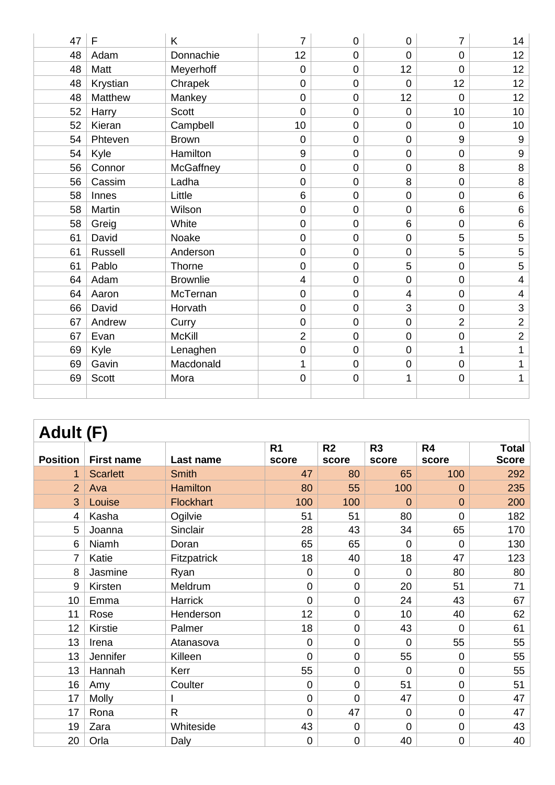| 47 | $\mathsf F$    | K               | $\overline{7}$  | 0              | $\mathbf 0$    | 7               | 14               |
|----|----------------|-----------------|-----------------|----------------|----------------|-----------------|------------------|
| 48 | Adam           | Donnachie       | 12              | 0              | $\overline{0}$ | 0               | 12 <sub>2</sub>  |
| 48 | Matt           | Meyerhoff       | $\overline{0}$  | $\mathbf 0$    | 12             | $\overline{0}$  | 12 <sub>2</sub>  |
| 48 | Krystian       | Chrapek         | $\overline{0}$  | $\mathbf 0$    | $\mathbf 0$    | 12              | 12               |
| 48 | Matthew        | Mankey          | $\overline{0}$  | $\overline{0}$ | 12             | $\overline{0}$  | 12 <sub>2</sub>  |
| 52 | Harry          | <b>Scott</b>    | $\overline{0}$  | $\mathbf 0$    | $\mathbf 0$    | 10              | 10 <sup>°</sup>  |
| 52 | Kieran         | Campbell        | 10 <sup>1</sup> | $\overline{0}$ | $\mathbf 0$    | $\mathbf 0$     | 10 <sup>°</sup>  |
| 54 | Phteven        | <b>Brown</b>    | $\overline{0}$  | $\mathbf 0$    | $\mathbf 0$    | 9               | $\boldsymbol{9}$ |
| 54 | Kyle           | Hamilton        | 9               | $\mathbf 0$    | $\mathsf 0$    | $\mathbf 0$     | $\boldsymbol{9}$ |
| 56 | Connor         | McGaffney       | $\mathbf 0$     | $\mathbf 0$    | $\mathbf 0$    | 8               | 8                |
| 56 | Cassim         | Ladha           | $\overline{0}$  | $\mathbf 0$    | 8              | $\mathbf 0$     | $\, 8$           |
| 58 | Innes          | Little          | 6               | $\mathbf 0$    | $\mathbf 0$    | 0               | $\,6\,$          |
| 58 | Martin         | Wilson          | $\mathbf 0$     | $\mathbf 0$    | $\mathbf 0$    | $6\phantom{1}6$ | $\,6\,$          |
| 58 | Greig          | White           | $\overline{0}$  | $\overline{0}$ | 6              | 0               | $\,6\,$          |
| 61 | David          | Noake           | $\overline{0}$  | $\mathbf 0$    | $\mathbf 0$    | 5               | 5                |
| 61 | <b>Russell</b> | Anderson        | $\overline{0}$  | $\mathbf 0$    | $\mathbf 0$    | 5               | 5                |
| 61 | Pablo          | Thorne          | $\mathbf 0$     | $\mathbf 0$    | 5              | $\mathbf 0$     | 5                |
| 64 | Adam           | <b>Brownlie</b> | $\overline{4}$  | $\overline{0}$ | $\overline{0}$ | $\mathbf 0$     | $\overline{4}$   |
| 64 | Aaron          | McTernan        | $\mathbf 0$     | $\mathbf 0$    | 4              | $\mathbf 0$     | $\overline{4}$   |
| 66 | David          | Horvath         | $\overline{0}$  | $\mathbf 0$    | 3              | $\mathbf 0$     | $\mathbf{3}$     |
| 67 | Andrew         | Curry           | $\overline{0}$  | $\mathbf 0$    | $\pmb{0}$      | $\overline{2}$  | $\overline{2}$   |
| 67 | Evan           | <b>McKill</b>   | $\overline{2}$  | $\mathbf 0$    | $\mathbf 0$    | $\mathbf 0$     | $\overline{2}$   |
| 69 | Kyle           | Lenaghen        | $\mathbf 0$     | 0              | $\mathbf 0$    | 1               | $\mathbf 1$      |
| 69 | Gavin          | Macdonald       | 1               | $\mathbf 0$    | $\mathbf 0$    | $\mathbf 0$     | $\mathbf{1}$     |
| 69 | Scott          | Mora            | $\mathbf 0$     | $\mathbf 0$    | 1              | $\mathbf 0$     | 1                |
|    |                |                 |                 |                |                |                 |                  |

| <b>Adult (F)</b> |                   |                  |                |                  |                |                |              |  |
|------------------|-------------------|------------------|----------------|------------------|----------------|----------------|--------------|--|
|                  |                   |                  | R <sub>1</sub> | R <sub>2</sub>   | R <sub>3</sub> | R4             | <b>Total</b> |  |
| <b>Position</b>  | <b>First name</b> | Last name        | score          | score            | score          | score          | <b>Score</b> |  |
| 1                | <b>Scarlett</b>   | <b>Smith</b>     | 47             | 80               | 65             | 100            | 292          |  |
| $\overline{2}$   | Ava               | <b>Hamilton</b>  | 80             | 55               | 100            | $\overline{0}$ | 235          |  |
| 3                | Louise            | <b>Flockhart</b> | 100            | 100              | $\overline{0}$ | $\overline{0}$ | 200          |  |
| 4                | Kasha             | Ogilvie          | 51             | 51               | 80             | 0              | 182          |  |
| 5                | Joanna            | Sinclair         | 28             | 43               | 34             | 65             | 170          |  |
| 6                | Niamh             | Doran            | 65             | 65               | $\overline{0}$ | 0              | 130          |  |
| $\overline{7}$   | Katie             | Fitzpatrick      | 18             | 40               | 18             | 47             | 123          |  |
| 8                | Jasmine           | Ryan             | 0              | $\mathbf 0$      | $\overline{0}$ | 80             | 80           |  |
| 9                | Kirsten           | Meldrum          | 0              | $\boldsymbol{0}$ | 20             | 51             | 71           |  |
| 10               | Emma              | Harrick          | 0              | $\mathbf 0$      | 24             | 43             | 67           |  |
| 11               | Rose              | Henderson        | 12             | $\mathbf 0$      | 10             | 40             | 62           |  |
| 12               | Kirstie           | Palmer           | 18             | $\mathbf 0$      | 43             | $\mathbf 0$    | 61           |  |
| 13               | Irena             | Atanasova        | 0              | $\mathbf 0$      | $\overline{0}$ | 55             | 55           |  |
| 13               | Jennifer          | Killeen          | 0              | $\mathbf 0$      | 55             | $\mathbf 0$    | 55           |  |
| 13               | Hannah            | Kerr             | 55             | $\overline{0}$   | $\overline{0}$ | 0              | 55           |  |
| 16               | Amy               | Coulter          | 0              | $\mathbf 0$      | 51             | 0              | 51           |  |
| 17               | Molly             |                  | 0              | $\overline{0}$   | 47             | 0              | 47           |  |
| 17               | Rona              | $\mathsf{R}$     | $\overline{0}$ | 47               | $\mathbf 0$    | 0              | 47           |  |
| 19               | Zara              | Whiteside        | 43             | $\mathbf 0$      | $\overline{0}$ | 0              | 43           |  |
| 20               | Orla              | Daly             | 0              | $\mathbf 0$      | 40             | 0              | 40           |  |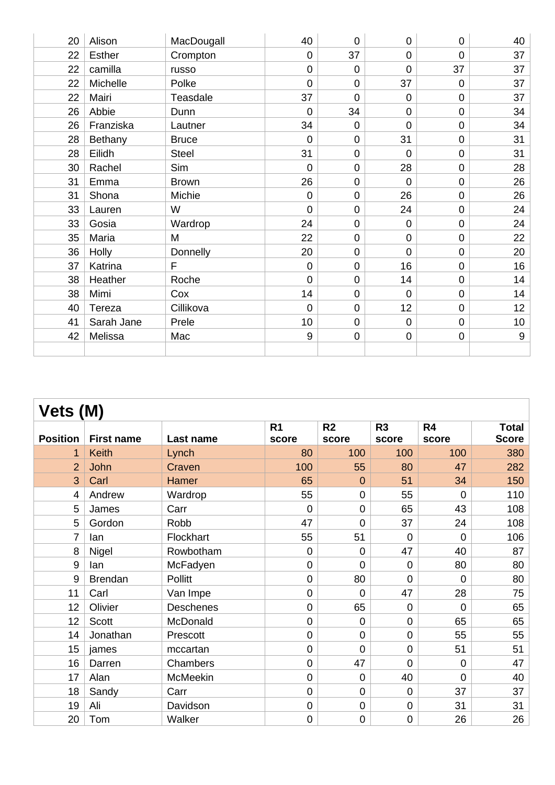| 20 | Alison        | MacDougall   | 40             | 0              | 0              | 0              | 40              |
|----|---------------|--------------|----------------|----------------|----------------|----------------|-----------------|
| 22 | <b>Esther</b> | Crompton     | $\overline{0}$ | 37             | 0              | $\overline{0}$ | 37              |
| 22 | camilla       | russo        | $\overline{0}$ | $\overline{0}$ | 0              | 37             | 37              |
| 22 | Michelle      | Polke        | $\overline{0}$ | 0              | 37             | $\mathbf 0$    | 37              |
| 22 | Mairi         | Teasdale     | 37             | 0              | 0              | $\mathbf 0$    | 37              |
| 26 | Abbie         | Dunn         | $\Omega$       | 34             | 0              | $\mathbf 0$    | 34              |
| 26 | Franziska     | Lautner      | 34             | $\mathbf 0$    | $\overline{0}$ | $\mathbf 0$    | 34              |
| 28 | Bethany       | <b>Bruce</b> | $\overline{0}$ | 0              | 31             | $\mathbf 0$    | 31              |
| 28 | Eilidh        | <b>Steel</b> | 31             | 0              | $\overline{0}$ | $\mathbf 0$    | 31              |
| 30 | Rachel        | Sim          | $\overline{0}$ | $\overline{0}$ | 28             | $\mathbf 0$    | 28              |
| 31 | Emma          | <b>Brown</b> | 26             | 0              | $\mathbf 0$    | $\pmb{0}$      | 26              |
| 31 | Shona         | Michie       | $\Omega$       | 0              | 26             | $\overline{0}$ | 26              |
| 33 | Lauren        | W            | $\overline{0}$ | 0              | 24             | $\mathbf 0$    | 24              |
| 33 | Gosia         | Wardrop      | 24             | 0              | $\mathbf 0$    | $\mathbf 0$    | 24              |
| 35 | Maria         | M            | 22             | $\mathbf 0$    | 0              | $\mathbf 0$    | 22              |
| 36 | Holly         | Donnelly     | 20             | 0              | $\mathbf 0$    | $\mathbf 0$    | 20              |
| 37 | Katrina       | F            | $\overline{0}$ | 0              | 16             | $\mathbf 0$    | 16              |
| 38 | Heather       | Roche        | $\overline{0}$ | 0              | 14             | $\mathbf 0$    | 14              |
| 38 | Mimi          | Cox          | 14             | $\mathbf 0$    | $\mathbf 0$    | $\mathbf 0$    | 14              |
| 40 | Tereza        | Cillikova    | $\mathbf 0$    | 0              | 12             | $\mathbf 0$    | 12 <sub>2</sub> |
| 41 | Sarah Jane    | Prele        | 10             | 0              | $\mathbf 0$    | $\mathbf 0$    | 10 <sup>1</sup> |
| 42 | Melissa       | Mac          | 9              | 0              | $\mathbf 0$    | $\pmb{0}$      | 9               |
|    |               |              |                |                |                |                |                 |

| Vets (M)        |                   |                  |                |                |                |                |              |  |
|-----------------|-------------------|------------------|----------------|----------------|----------------|----------------|--------------|--|
|                 |                   |                  | R <sub>1</sub> | R <sub>2</sub> | R <sub>3</sub> | R4             | <b>Total</b> |  |
| <b>Position</b> | <b>First name</b> | Last name        | score          | score          | score          | score          | <b>Score</b> |  |
| 1               | <b>Keith</b>      | Lynch            | 80             | 100            | 100            | 100            | 380          |  |
| $\overline{2}$  | John              | Craven           | 100            | 55             | 80             | 47             | 282          |  |
| 3               | Carl              | Hamer            | 65             | $\overline{0}$ | 51             | 34             | 150          |  |
| 4               | Andrew            | Wardrop          | 55             | $\mathbf 0$    | 55             | $\overline{0}$ | 110          |  |
| 5               | James             | Carr             | $\overline{0}$ | $\overline{0}$ | 65             | 43             | 108          |  |
| 5               | Gordon            | Robb             | 47             | $\overline{0}$ | 37             | 24             | 108          |  |
| $\overline{7}$  | lan               | Flockhart        | 55             | 51             | $\overline{0}$ | $\overline{0}$ | 106          |  |
| 8               | Nigel             | Rowbotham        | 0              | $\mathbf 0$    | 47             | 40             | 87           |  |
| 9               | lan               | McFadyen         | 0              | $\overline{0}$ | $\mathbf 0$    | 80             | 80           |  |
| $9\,$           | <b>Brendan</b>    | <b>Pollitt</b>   | 0              | 80             | $\overline{0}$ | $\overline{0}$ | 80           |  |
| 11              | Carl              | Van Impe         | 0              | $\Omega$       | 47             | 28             | 75           |  |
| 12              | Olivier           | <b>Deschenes</b> | 0              | 65             | $\mathbf 0$    | $\Omega$       | 65           |  |
| 12              | <b>Scott</b>      | McDonald         | 0              | $\overline{0}$ | $\overline{0}$ | 65             | 65           |  |
| 14              | Jonathan          | Prescott         | 0              | $\mathbf 0$    | $\mathbf 0$    | 55             | 55           |  |
| 15              | james             | mccartan         | 0              | $\overline{0}$ | $\overline{0}$ | 51             | 51           |  |
| 16              | Darren            | Chambers         | 0              | 47             | $\mathbf 0$    | $\overline{0}$ | 47           |  |
| 17              | Alan              | McMeekin         | $\overline{0}$ | $\overline{0}$ | 40             | $\overline{0}$ | 40           |  |
| 18              | Sandy             | Carr             | 0              | $\mathbf 0$    | $\mathbf 0$    | 37             | 37           |  |
| 19              | Ali               | Davidson         | 0              | $\mathbf 0$    | $\mathbf 0$    | 31             | 31           |  |
| 20              | Tom               | Walker           | 0              | 0              | $\mathbf 0$    | 26             | 26           |  |